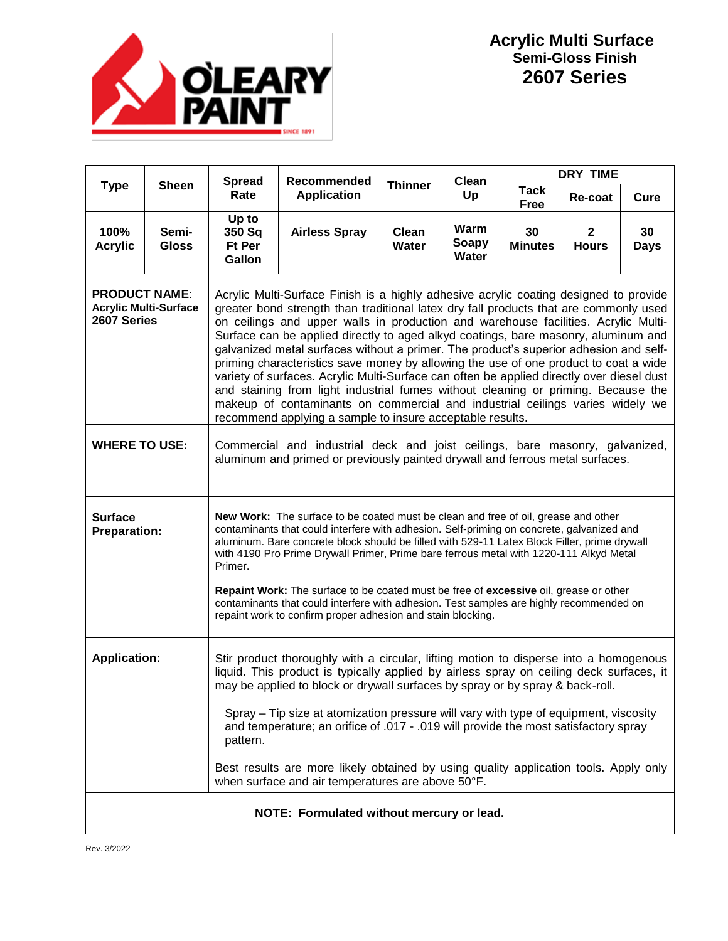

| <b>Type</b>                                                         | <b>Sheen</b>          | <b>Spread</b><br>Rate                                                                                                                                                                                                                                                                                                                                                                                                                                                                                                                                                                                                                                                                                                                                                                                                                                                       | <b>Recommended</b><br><b>Application</b> | <b>Thinner</b>        | Clean<br>Up            | <b>DRY TIME</b>      |                              |                   |  |
|---------------------------------------------------------------------|-----------------------|-----------------------------------------------------------------------------------------------------------------------------------------------------------------------------------------------------------------------------------------------------------------------------------------------------------------------------------------------------------------------------------------------------------------------------------------------------------------------------------------------------------------------------------------------------------------------------------------------------------------------------------------------------------------------------------------------------------------------------------------------------------------------------------------------------------------------------------------------------------------------------|------------------------------------------|-----------------------|------------------------|----------------------|------------------------------|-------------------|--|
|                                                                     |                       |                                                                                                                                                                                                                                                                                                                                                                                                                                                                                                                                                                                                                                                                                                                                                                                                                                                                             |                                          |                       |                        | <b>Tack</b><br>Free  | Re-coat                      | Cure              |  |
| 100%<br><b>Acrylic</b>                                              | Semi-<br><b>Gloss</b> | Up to<br>350 Sq<br>Ft Per<br>Gallon                                                                                                                                                                                                                                                                                                                                                                                                                                                                                                                                                                                                                                                                                                                                                                                                                                         | <b>Airless Spray</b>                     | Clean<br><b>Water</b> | Warm<br>Soapy<br>Water | 30<br><b>Minutes</b> | $\mathbf{2}$<br><b>Hours</b> | 30<br><b>Days</b> |  |
| <b>PRODUCT NAME:</b><br><b>Acrylic Multi-Surface</b><br>2607 Series |                       | Acrylic Multi-Surface Finish is a highly adhesive acrylic coating designed to provide<br>greater bond strength than traditional latex dry fall products that are commonly used<br>on ceilings and upper walls in production and warehouse facilities. Acrylic Multi-<br>Surface can be applied directly to aged alkyd coatings, bare masonry, aluminum and<br>galvanized metal surfaces without a primer. The product's superior adhesion and self-<br>priming characteristics save money by allowing the use of one product to coat a wide<br>variety of surfaces. Acrylic Multi-Surface can often be applied directly over diesel dust<br>and staining from light industrial fumes without cleaning or priming. Because the<br>makeup of contaminants on commercial and industrial ceilings varies widely we<br>recommend applying a sample to insure acceptable results. |                                          |                       |                        |                      |                              |                   |  |
| <b>WHERE TO USE:</b>                                                |                       | Commercial and industrial deck and joist ceilings, bare masonry, galvanized,<br>aluminum and primed or previously painted drywall and ferrous metal surfaces.                                                                                                                                                                                                                                                                                                                                                                                                                                                                                                                                                                                                                                                                                                               |                                          |                       |                        |                      |                              |                   |  |
| Surface<br><b>Preparation:</b>                                      |                       | New Work: The surface to be coated must be clean and free of oil, grease and other<br>contaminants that could interfere with adhesion. Self-priming on concrete, galvanized and<br>aluminum. Bare concrete block should be filled with 529-11 Latex Block Filler, prime drywall<br>with 4190 Pro Prime Drywall Primer, Prime bare ferrous metal with 1220-111 Alkyd Metal<br>Primer.<br>Repaint Work: The surface to be coated must be free of excessive oil, grease or other<br>contaminants that could interfere with adhesion. Test samples are highly recommended on<br>repaint work to confirm proper adhesion and stain blocking.                                                                                                                                                                                                                                     |                                          |                       |                        |                      |                              |                   |  |
| <b>Application:</b>                                                 |                       | Stir product thoroughly with a circular, lifting motion to disperse into a homogenous<br>liquid. This product is typically applied by airless spray on ceiling deck surfaces, it<br>may be applied to block or drywall surfaces by spray or by spray & back-roll.<br>Spray - Tip size at atomization pressure will vary with type of equipment, viscosity<br>and temperature; an orifice of .017 - .019 will provide the most satisfactory spray<br>pattern.<br>Best results are more likely obtained by using quality application tools. Apply only<br>when surface and air temperatures are above 50°F.                                                                                                                                                                                                                                                                   |                                          |                       |                        |                      |                              |                   |  |
| NOTE: Formulated without mercury or lead.                           |                       |                                                                                                                                                                                                                                                                                                                                                                                                                                                                                                                                                                                                                                                                                                                                                                                                                                                                             |                                          |                       |                        |                      |                              |                   |  |